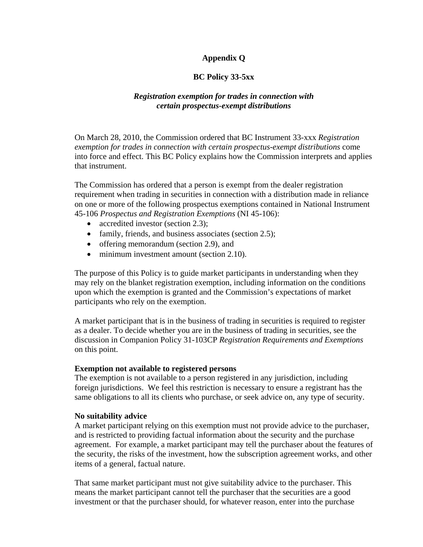# **Appendix Q**

### **BC Policy 33-5xx**

### *Registration exemption for trades in connection with certain prospectus-exempt distributions*

On March 28, 2010, the Commission ordered that BC Instrument 33-xxx *Registration exemption for trades in connection with certain prospectus-exempt distributions* come into force and effect. This BC Policy explains how the Commission interprets and applies that instrument.

The Commission has ordered that a person is exempt from the dealer registration requirement when trading in securities in connection with a distribution made in reliance on one or more of the following prospectus exemptions contained in National Instrument 45-106 *Prospectus and Registration Exemptions* (NI 45-106):

- accredited investor (section 2.3);
- family, friends, and business associates (section 2.5);
- offering memorandum (section 2.9), and
- minimum investment amount (section 2.10).

The purpose of this Policy is to guide market participants in understanding when they may rely on the blanket registration exemption, including information on the conditions upon which the exemption is granted and the Commission's expectations of market participants who rely on the exemption.

A market participant that is in the business of trading in securities is required to register as a dealer. To decide whether you are in the business of trading in securities, see the discussion in Companion Policy 31-103CP *Registration Requirements and Exemptions* on this point.

#### **Exemption not available to registered persons**

The exemption is not available to a person registered in any jurisdiction, including foreign jurisdictions. We feel this restriction is necessary to ensure a registrant has the same obligations to all its clients who purchase, or seek advice on, any type of security.

#### **No suitability advice**

A market participant relying on this exemption must not provide advice to the purchaser, and is restricted to providing factual information about the security and the purchase agreement. For example, a market participant may tell the purchaser about the features of the security, the risks of the investment, how the subscription agreement works, and other items of a general, factual nature.

That same market participant must not give suitability advice to the purchaser. This means the market participant cannot tell the purchaser that the securities are a good investment or that the purchaser should, for whatever reason, enter into the purchase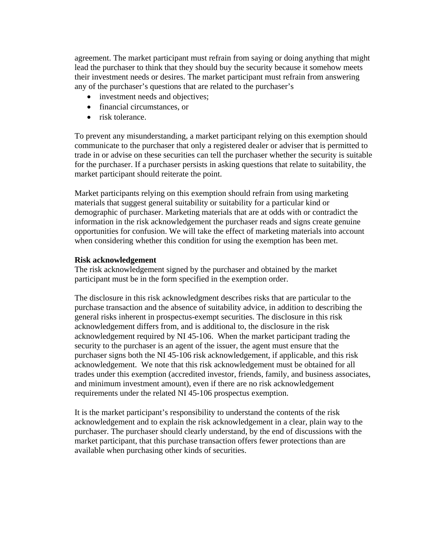agreement. The market participant must refrain from saying or doing anything that might lead the purchaser to think that they should buy the security because it somehow meets their investment needs or desires. The market participant must refrain from answering any of the purchaser's questions that are related to the purchaser's

- investment needs and objectives:
- financial circumstances, or
- risk tolerance.

To prevent any misunderstanding, a market participant relying on this exemption should communicate to the purchaser that only a registered dealer or adviser that is permitted to trade in or advise on these securities can tell the purchaser whether the security is suitable for the purchaser. If a purchaser persists in asking questions that relate to suitability, the market participant should reiterate the point.

Market participants relying on this exemption should refrain from using marketing materials that suggest general suitability or suitability for a particular kind or demographic of purchaser. Marketing materials that are at odds with or contradict the information in the risk acknowledgement the purchaser reads and signs create genuine opportunities for confusion. We will take the effect of marketing materials into account when considering whether this condition for using the exemption has been met.

#### **Risk acknowledgement**

The risk acknowledgement signed by the purchaser and obtained by the market participant must be in the form specified in the exemption order.

The disclosure in this risk acknowledgment describes risks that are particular to the purchase transaction and the absence of suitability advice, in addition to describing the general risks inherent in prospectus-exempt securities. The disclosure in this risk acknowledgement differs from, and is additional to, the disclosure in the risk acknowledgement required by NI 45-106. When the market participant trading the security to the purchaser is an agent of the issuer, the agent must ensure that the purchaser signs both the NI 45-106 risk acknowledgement, if applicable, and this risk acknowledgement. We note that this risk acknowledgement must be obtained for all trades under this exemption (accredited investor, friends, family, and business associates, and minimum investment amount), even if there are no risk acknowledgement requirements under the related NI 45-106 prospectus exemption.

It is the market participant's responsibility to understand the contents of the risk acknowledgement and to explain the risk acknowledgement in a clear, plain way to the purchaser. The purchaser should clearly understand, by the end of discussions with the market participant, that this purchase transaction offers fewer protections than are available when purchasing other kinds of securities.